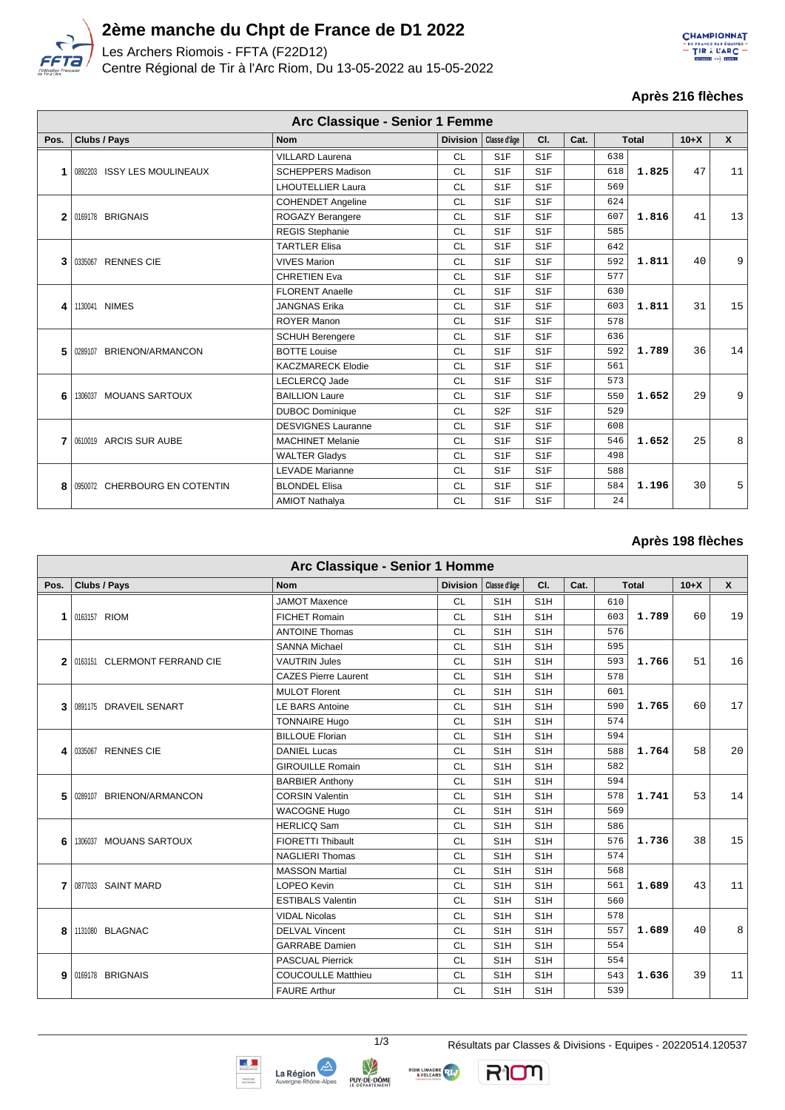

# **2ème manche du Chpt de France de D1 2022**

Les Archers Riomois - FFTA (F22D12)

Centre Régional de Tir à l'Arc Riom, Du 13-05-2022 au 15-05-2022



#### **Après 216 flèches**

|      | Arc Classique - Senior 1 Femme |                           |                         |                  |                  |      |     |              |        |              |  |  |
|------|--------------------------------|---------------------------|-------------------------|------------------|------------------|------|-----|--------------|--------|--------------|--|--|
| Pos. | Clubs / Pays                   | <b>Nom</b>                | Division   Classe d'âge |                  | CI.              | Cat. |     | <b>Total</b> | $10+X$ | $\mathsf{x}$ |  |  |
|      |                                | <b>VILLARD Laurena</b>    | <b>CL</b>               | S <sub>1</sub> F | S <sub>1</sub> F |      | 638 |              |        |              |  |  |
|      | 0892203 ISSY LES MOULINEAUX    | <b>SCHEPPERS Madison</b>  | <b>CL</b>               | S <sub>1</sub> F | S <sub>1</sub> F |      | 618 | 1.825        | 47     | 11           |  |  |
|      |                                | <b>LHOUTELLIER Laura</b>  | <b>CL</b>               | S <sub>1</sub> F | S <sub>1</sub> F |      | 569 |              |        |              |  |  |
|      |                                | <b>COHENDET Angeline</b>  | <b>CL</b>               | S <sub>1</sub> F | S <sub>1</sub> F |      | 624 |              | 41     |              |  |  |
| 2    | 0169178 BRIGNAIS               | ROGAZY Berangere          | <b>CL</b>               | S <sub>1</sub> F | S <sub>1</sub> F |      | 607 | 1.816        |        | 13           |  |  |
|      |                                | <b>REGIS Stephanie</b>    | <b>CL</b>               | S <sub>1</sub> F | S <sub>1</sub> F |      | 585 |              |        |              |  |  |
|      |                                | <b>TARTLER Elisa</b>      | <b>CL</b>               | S <sub>1</sub> F | S <sub>1</sub> F |      | 642 |              |        |              |  |  |
| 3    | 0335067 RENNES CIE             | <b>VIVES Marion</b>       | <b>CL</b>               | S <sub>1</sub> F | S <sub>1</sub> F |      | 592 | 1.811        | 40     | 9            |  |  |
|      |                                | <b>CHRETIEN Eva</b>       | <b>CL</b>               | S <sub>1</sub> F | S <sub>1</sub> F |      | 577 |              |        |              |  |  |
|      |                                | <b>FLORENT Anaelle</b>    | <b>CL</b>               | S <sub>1</sub> F | S <sub>1</sub> F |      | 630 |              |        | 15           |  |  |
| 4    | 1130041 NIMES                  | <b>JANGNAS Erika</b>      | <b>CL</b>               | S <sub>1</sub> F | S <sub>1</sub> F |      | 603 | 1.811        | 31     |              |  |  |
|      |                                | <b>ROYER Manon</b>        | <b>CL</b>               | S <sub>1</sub> F | S <sub>1</sub> F |      | 578 |              |        |              |  |  |
|      | BRIENON/ARMANCON<br>0289107    | <b>SCHUH Berengere</b>    | <b>CL</b>               | S <sub>1</sub> F | S <sub>1</sub> F |      | 636 |              |        | 14           |  |  |
| 5    |                                | <b>BOTTE Louise</b>       | <b>CL</b>               | S <sub>1</sub> F | S <sub>1</sub> F |      | 592 | 1.789        | 36     |              |  |  |
|      |                                | <b>KACZMARECK Elodie</b>  | <b>CL</b>               | S <sub>1</sub> F | S <sub>1</sub> F |      | 561 |              |        |              |  |  |
|      |                                | LECLERCQ Jade             | <b>CL</b>               | S <sub>1</sub> F | S <sub>1</sub> F |      | 573 |              |        |              |  |  |
| 6    | 1306037 MOUANS SARTOUX         | <b>BAILLION Laure</b>     | <b>CL</b>               | S <sub>1</sub> F | S <sub>1</sub> F |      | 550 | 1.652        | 29     | 9            |  |  |
|      |                                | <b>DUBOC Dominique</b>    | <b>CL</b>               | S <sub>2F</sub>  | S <sub>1</sub> F |      | 529 |              |        |              |  |  |
|      |                                | <b>DESVIGNES Lauranne</b> | <b>CL</b>               | S <sub>1</sub> F | S <sub>1</sub> F |      | 608 |              |        |              |  |  |
|      | 0610019 ARCIS SUR AUBE         | <b>MACHINET Melanie</b>   | <b>CL</b>               | S <sub>1</sub> F | S <sub>1</sub> F |      | 546 | 1.652        | 25     | 8            |  |  |
|      |                                | <b>WALTER Gladys</b>      | <b>CL</b>               | S <sub>1</sub> F | S <sub>1</sub> F |      | 498 |              |        |              |  |  |
|      |                                | <b>LEVADE Marianne</b>    | <b>CL</b>               | S <sub>1</sub> F | S <sub>1</sub> F |      | 588 |              |        |              |  |  |
| 8    | 0950072 CHERBOURG EN COTENTIN  | <b>BLONDEL Elisa</b>      | <b>CL</b>               | S <sub>1</sub> F | S <sub>1</sub> F |      | 584 | 1.196        | 30     | 5            |  |  |
|      |                                | <b>AMIOT Nathalya</b>     | <b>CL</b>               | S <sub>1</sub> F | S <sub>1</sub> F |      | 24  |              |        |              |  |  |

### **Après 198 flèches**

|              | Arc Classique - Senior 1 Homme |                             |                         |                  |                  |      |     |              |        |                 |  |  |  |
|--------------|--------------------------------|-----------------------------|-------------------------|------------------|------------------|------|-----|--------------|--------|-----------------|--|--|--|
| Pos.         | Clubs / Pays                   | <b>Nom</b>                  | Division   Classe d'âge |                  | CI.              | Cat. |     | <b>Total</b> | $10+X$ | $\mathsf{x}$    |  |  |  |
|              |                                | <b>JAMOT Maxence</b>        | <b>CL</b>               | S <sub>1</sub> H | S <sub>1</sub> H |      | 610 |              |        |                 |  |  |  |
| 1            | 0163157 RIOM                   | <b>FICHET Romain</b>        | <b>CL</b>               | S <sub>1</sub> H | S <sub>1</sub> H |      | 603 | 1.789        | 60     | 19              |  |  |  |
|              |                                | <b>ANTOINE Thomas</b>       | <b>CL</b>               | S <sub>1</sub> H | S <sub>1</sub> H |      | 576 |              |        |                 |  |  |  |
|              |                                | <b>SANNA Michael</b>        | <b>CL</b>               | S <sub>1</sub> H | S <sub>1</sub> H |      | 595 |              |        |                 |  |  |  |
| $\mathbf{2}$ | 0163151 CLERMONT FERRAND CIE   | <b>VAUTRIN Jules</b>        | <b>CL</b>               | S <sub>1</sub> H | S <sub>1</sub> H |      | 593 | 1.766        | 51     | 16              |  |  |  |
|              |                                | <b>CAZES Pierre Laurent</b> | <b>CL</b>               | S <sub>1</sub> H | S <sub>1</sub> H |      | 578 |              |        |                 |  |  |  |
|              |                                | <b>MULOT Florent</b>        | <b>CL</b>               | S <sub>1</sub> H | S <sub>1</sub> H |      | 601 |              |        |                 |  |  |  |
| 3            | 0891175 DRAVEIL SENART         | <b>LE BARS Antoine</b>      | <b>CL</b>               | S <sub>1</sub> H | S <sub>1</sub> H |      | 590 | 1.765        | 60     | 17              |  |  |  |
|              |                                | <b>TONNAIRE Hugo</b>        | <b>CL</b>               | S <sub>1</sub> H | S <sub>1</sub> H |      | 574 |              |        |                 |  |  |  |
|              |                                | <b>BILLOUE Florian</b>      | <b>CL</b>               | S <sub>1</sub> H | S <sub>1</sub> H |      | 594 |              |        |                 |  |  |  |
| 4            | 0335067 RENNES CIE             | <b>DANIEL Lucas</b>         | <b>CL</b>               | S <sub>1</sub> H | S <sub>1</sub> H |      | 588 | 1.764        | 58     | 20 <sup>1</sup> |  |  |  |
|              |                                | <b>GIROUILLE Romain</b>     | <b>CL</b>               | S <sub>1</sub> H | S <sub>1</sub> H |      | 582 |              |        |                 |  |  |  |
|              | 0289107 BRIENON/ARMANCON       | <b>BARBIER Anthony</b>      | <b>CL</b>               | S <sub>1</sub> H | S <sub>1</sub> H |      | 594 |              |        |                 |  |  |  |
| 5            |                                | <b>CORSIN Valentin</b>      | <b>CL</b>               | S <sub>1</sub> H | S <sub>1</sub> H |      | 578 | 1.741        | 53     | 14              |  |  |  |
|              |                                | <b>WACOGNE Hugo</b>         | <b>CL</b>               | S <sub>1</sub> H | S <sub>1</sub> H |      | 569 |              |        |                 |  |  |  |
|              |                                | <b>HERLICQ Sam</b>          | <b>CL</b>               | S <sub>1</sub> H | S <sub>1</sub> H |      | 586 |              |        |                 |  |  |  |
| 6            | 1306037 MOUANS SARTOUX         | FIORETTI Thibault           | <b>CL</b>               | S <sub>1</sub> H | S <sub>1</sub> H |      | 576 | 1.736        | 38     | 15              |  |  |  |
|              |                                | <b>NAGLIERI Thomas</b>      | <b>CL</b>               | S <sub>1</sub> H | S <sub>1</sub> H |      | 574 |              |        |                 |  |  |  |
|              |                                | <b>MASSON Martial</b>       | <b>CL</b>               | S <sub>1</sub> H | S <sub>1</sub> H |      | 568 |              |        |                 |  |  |  |
| 7            | 0877033 SAINT MARD             | <b>LOPEO Kevin</b>          | <b>CL</b>               | S <sub>1</sub> H | S <sub>1</sub> H |      | 561 | 1.689        | 43     | 11              |  |  |  |
|              |                                | <b>ESTIBALS Valentin</b>    | <b>CL</b>               | S <sub>1</sub> H | S <sub>1</sub> H |      | 560 |              |        |                 |  |  |  |
|              |                                | <b>VIDAL Nicolas</b>        | <b>CL</b>               | S <sub>1</sub> H | S <sub>1</sub> H |      | 578 |              |        |                 |  |  |  |
| 8            | 1131080 BLAGNAC                | <b>DELVAL Vincent</b>       | <b>CL</b>               | S <sub>1</sub> H | S <sub>1</sub> H |      | 557 | 1.689        | 40     | 8               |  |  |  |
|              |                                | <b>GARRABE</b> Damien       | <b>CL</b>               | S <sub>1</sub> H | S <sub>1</sub> H |      | 554 |              |        |                 |  |  |  |
|              |                                | <b>PASCUAL Pierrick</b>     | <b>CL</b>               | S <sub>1</sub> H | S <sub>1</sub> H |      | 554 |              |        | 11              |  |  |  |
| 9            | 0169178 BRIGNAIS               | <b>COUCOULLE Matthieu</b>   | <b>CL</b>               | S <sub>1</sub> H | S <sub>1</sub> H |      | 543 | 1.636        | 39     |                 |  |  |  |
|              |                                | <b>FAURE Arthur</b>         | <b>CL</b>               | S <sub>1</sub> H | S <sub>1</sub> H |      | 539 |              |        |                 |  |  |  |





V



RIOM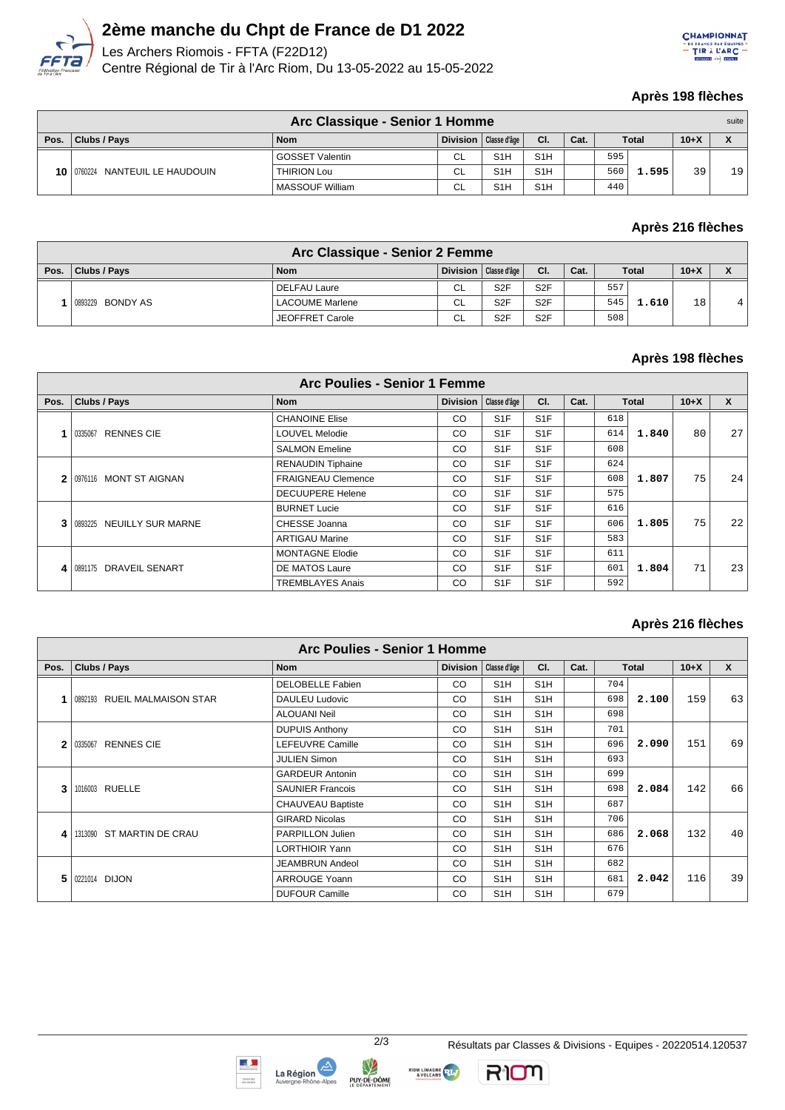

# **2ème manche du Chpt de France de D1 2022**

Les Archers Riomois - FFTA (F22D12) Centre Régional de Tir à l'Arc Riom, Du 13-05-2022 au 15-05-2022



#### **Après 198 flèches**

| Arc Classique - Senior 1 Homme |                                        |                        |           |                         |                  |      |     |              |          | suite |
|--------------------------------|----------------------------------------|------------------------|-----------|-------------------------|------------------|------|-----|--------------|----------|-------|
| Pos.                           | Clubs / Pays                           | <b>Nom</b>             |           | Division   Classe d'âge | CI.              | Cat. |     | <b>Total</b> | $10 + X$ |       |
|                                | $10$   0760224<br>NANTEUIL LE HAUDOUIN | <b>GOSSET Valentin</b> | CL        | S <sub>1</sub> H        | S <sub>1</sub> H |      | 595 | 1.595        |          |       |
|                                |                                        | <b>THIRION Lou</b>     | <b>CL</b> | S <sub>1</sub> H        | S <sub>1</sub> H |      | 560 |              | 39       | 19    |
|                                |                                        | MASSOUF William        | CL        | S <sub>1</sub> H        | S <sub>1</sub> H |      | 440 |              |          |       |

## **Après 216 flèches**

|      | Arc Classique - Senior 2 Femme |                        |                 |                 |                  |      |     |              |    |                    |  |
|------|--------------------------------|------------------------|-----------------|-----------------|------------------|------|-----|--------------|----|--------------------|--|
| Pos. | Clubs / Pays                   | <b>Nom</b>             | <b>Division</b> | Classe d'âge    | CI.              | Cat. |     | <b>Total</b> |    | $\mathbf{\Lambda}$ |  |
|      | 0893229 BONDY AS               | l DELFAU Laure         | <b>CL</b>       | S <sub>2F</sub> | S <sub>2</sub> F |      | 557 | 1.610        | 18 | 4                  |  |
|      |                                | <b>LACOUME Marlene</b> | <b>CL</b>       | S <sub>2F</sub> | S <sub>2</sub> F |      | 545 |              |    |                    |  |
|      |                                | JEOFFRET Carole        | <b>CL</b>       | S <sub>2F</sub> | S <sub>2F</sub>  |      | 508 |              |    |                    |  |

## **Après 198 flèches**

|      | <b>Arc Poulies - Senior 1 Femme</b> |                           |                 |                  |                  |      |     |              |        |              |  |  |
|------|-------------------------------------|---------------------------|-----------------|------------------|------------------|------|-----|--------------|--------|--------------|--|--|
| Pos. | <b>Clubs / Pays</b>                 | <b>Nom</b>                | <b>Division</b> | Classe d'âge     | CI.              | Cat. |     | <b>Total</b> | $10+X$ | $\mathbf{x}$ |  |  |
|      |                                     | <b>CHANOINE Elise</b>     | CO              | S <sub>1</sub> F | S <sub>1</sub> F |      | 618 |              |        |              |  |  |
|      | <b>RENNES CIE</b><br>0335067        | <b>LOUVEL Melodie</b>     | CO              | S <sub>1</sub> F | S <sub>1</sub> F |      | 614 | 1.840        | 80     | 27           |  |  |
|      |                                     | <b>SALMON Emeline</b>     | CO              | S <sub>1</sub> F | S <sub>1</sub> F |      | 608 |              |        |              |  |  |
|      | 0976116 MONT ST AIGNAN              | <b>RENAUDIN Tiphaine</b>  | CO              | S <sub>1</sub> F | S <sub>1</sub> F |      | 624 |              |        |              |  |  |
|      |                                     | <b>FRAIGNEAU Clemence</b> | CO              | S <sub>1</sub> F | S <sub>1</sub> F |      | 608 | 1.807        | 75     | 24           |  |  |
|      |                                     | <b>DECUUPERE Helene</b>   | CO              | S <sub>1</sub> F | S <sub>1</sub> F |      | 575 |              |        |              |  |  |
|      |                                     | <b>BURNET Lucie</b>       | CO              | S <sub>1</sub> F | S <sub>1</sub> F |      | 616 |              |        |              |  |  |
|      | 0893225 NEUILLY SUR MARNE           | CHESSE Joanna             | CO              | S <sub>1</sub> F | S <sub>1</sub> F |      | 606 | 1.805        | 75     | 22           |  |  |
|      |                                     | <b>ARTIGAU Marine</b>     | CO              | S <sub>1</sub> F | S <sub>1</sub> F |      | 583 |              |        |              |  |  |
|      | 0891175 DRAVEIL SENART              | <b>MONTAGNE Elodie</b>    | CO              | S <sub>1</sub> F | S <sub>1</sub> F |      | 611 |              |        |              |  |  |
| 4    |                                     | DE MATOS Laure            | CO              | S <sub>1</sub> F | S <sub>1</sub> F |      | 601 | 1.804        | 71     | 23           |  |  |
|      |                                     | <b>TREMBLAYES Anais</b>   | CO              | S <sub>1</sub> F | S <sub>1</sub> F |      | 592 |              |        |              |  |  |

## **Après 216 flèches**

|      | <b>Arc Poulies - Senior 1 Homme</b> |                          |                 |                  |                  |      |              |       |        |              |  |  |  |
|------|-------------------------------------|--------------------------|-----------------|------------------|------------------|------|--------------|-------|--------|--------------|--|--|--|
| Pos. | <b>Clubs / Pays</b>                 | <b>Nom</b>               | <b>Division</b> | Classe d'âge     | CI.              | Cat. | <b>Total</b> |       | $10+X$ | $\mathbf{x}$ |  |  |  |
|      |                                     | <b>DELOBELLE Fabien</b>  | CO              | S <sub>1</sub> H | S <sub>1</sub> H |      | 704          |       |        |              |  |  |  |
|      | 0892193 RUEIL MALMAISON STAR        | DAULEU Ludovic           | CO.             | S <sub>1</sub> H | S <sub>1</sub> H |      | 698          | 2.100 | 159    | 63           |  |  |  |
|      |                                     | <b>ALOUANI Neil</b>      | CO              | S <sub>1</sub> H | S <sub>1</sub> H |      | 698          |       |        |              |  |  |  |
|      |                                     | <b>DUPUIS Anthony</b>    | CO              | S <sub>1</sub> H | S <sub>1</sub> H |      | 701          |       |        |              |  |  |  |
|      | <b>RENNES CIE</b><br>0335067        | LEFEUVRE Camille         | <b>CO</b>       | S <sub>1</sub> H | S <sub>1</sub> H |      | 696          | 2.090 | 151    | 69           |  |  |  |
|      |                                     | <b>JULIEN Simon</b>      | <b>CO</b>       | S <sub>1</sub> H | S <sub>1</sub> H |      | 693          |       |        |              |  |  |  |
|      | 1016003 RUELLE                      | <b>GARDEUR Antonin</b>   | <b>CO</b>       | S <sub>1</sub> H | S <sub>1</sub> H |      | 699          |       |        |              |  |  |  |
| 3    |                                     | <b>SAUNIER Francois</b>  | CO              | S <sub>1</sub> H | S <sub>1</sub> H |      | 698          | 2.084 | 142    | 66           |  |  |  |
|      |                                     | <b>CHAUVEAU Baptiste</b> | CO              | S <sub>1</sub> H | S <sub>1</sub> H |      | 687          |       |        |              |  |  |  |
|      |                                     | <b>GIRARD Nicolas</b>    | CO              | S <sub>1</sub> H | S <sub>1</sub> H |      | 706          |       |        |              |  |  |  |
| 4    | 1313090 ST MARTIN DE CRAU           | <b>PARPILLON Julien</b>  | CO              | S <sub>1</sub> H | S <sub>1</sub> H |      | 686          | 2.068 | 132    | 40           |  |  |  |
|      |                                     | <b>LORTHIOIR Yann</b>    | <b>CO</b>       | S <sub>1</sub> H | S <sub>1</sub> H |      | 676          |       |        |              |  |  |  |
|      | 0221014 DIJON                       | <b>JEAMBRUN Andeol</b>   | CO              | S <sub>1</sub> H | S <sub>1</sub> H |      | 682          |       |        |              |  |  |  |
| 5    |                                     | <b>ARROUGE Yoann</b>     | <b>CO</b>       | S <sub>1</sub> H | S <sub>1</sub> H |      | 681          | 2.042 | 116    | 39           |  |  |  |
|      |                                     | <b>DUFOUR Camille</b>    | CO              | S <sub>1</sub> H | S <sub>1</sub> H |      | 679          |       |        |              |  |  |  |